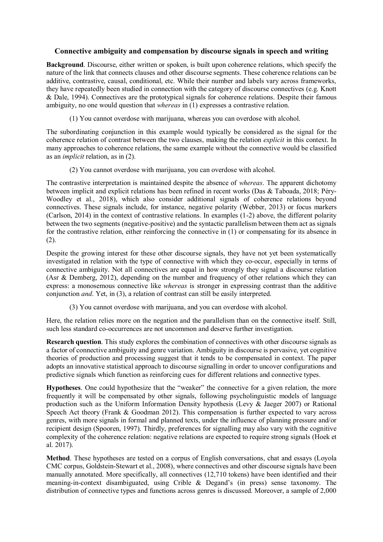## **Connective ambiguity and compensation by discourse signals in speech and writing**

**Background**. Discourse, either written or spoken, is built upon coherence relations, which specify the nature of the link that connects clauses and other discourse segments. These coherence relations can be additive, contrastive, causal, conditional, etc. While their number and labels vary across frameworks, they have repeatedly been studied in connection with the category of discourse connectives (e.g. Knott & Dale, 1994). Connectives are the prototypical signals for coherence relations. Despite their famous ambiguity, no one would question that *whereas* in (1) expresses a contrastive relation.

(1) You cannot overdose with marijuana, whereas you can overdose with alcohol.

The subordinating conjunction in this example would typically be considered as the signal for the coherence relation of contrast between the two clauses, making the relation *explicit* in this context. In many approaches to coherence relations, the same example without the connective would be classified as an *implicit* relation, as in (2).

(2) You cannot overdose with marijuana, you can overdose with alcohol.

The contrastive interpretation is maintained despite the absence of *whereas*. The apparent dichotomy between implicit and explicit relations has been refined in recent works (Das & Taboada, 2018; Péry-Woodley et al., 2018), which also consider additional signals of coherence relations beyond connectives. These signals include, for instance, negative polarity (Webber, 2013) or focus markers (Carlson, 2014) in the context of contrastive relations. In examples (1-2) above, the different polarity between the two segments (negative-positive) and the syntactic parallelism between them act as signals for the contrastive relation, either reinforcing the connective in (1) or compensating for its absence in (2).

Despite the growing interest for these other discourse signals, they have not yet been systematically investigated in relation with the type of connective with which they co-occur, especially in terms of connective ambiguity. Not all connectives are equal in how strongly they signal a discourse relation (Asr & Demberg, 2012), depending on the number and frequency of other relations which they can express: a monosemous connective like *whereas* is stronger in expressing contrast than the additive conjunction *and*. Yet, in (3), a relation of contrast can still be easily interpreted.

(3) You cannot overdose with marijuana, and you can overdose with alcohol.

Here, the relation relies more on the negation and the parallelism than on the connective itself. Still, such less standard co-occurrences are not uncommon and deserve further investigation.

**Research question**. This study explores the combination of connectives with other discourse signals as a factor of connective ambiguity and genre variation. Ambiguity in discourse is pervasive, yet cognitive theories of production and processing suggest that it tends to be compensated in context. The paper adopts an innovative statistical approach to discourse signalling in order to uncover configurations and predictive signals which function as reinforcing cues for different relations and connective types.

**Hypotheses**. One could hypothesize that the "weaker" the connective for a given relation, the more frequently it will be compensated by other signals, following psycholinguistic models of language production such as the Uniform Information Density hypothesis (Levy & Jaeger 2007) or Rational Speech Act theory (Frank & Goodman 2012). This compensation is further expected to vary across genres, with more signals in formal and planned texts, under the influence of planning pressure and/or recipient design (Spooren, 1997). Thirdly, preferences for signalling may also vary with the cognitive complexity of the coherence relation: negative relations are expected to require strong signals (Hoek et al. 2017).

**Method**. These hypotheses are tested on a corpus of English conversations, chat and essays (Loyola CMC corpus, Goldstein-Stewart et al., 2008), where connectives and other discourse signals have been manually annotated. More specifically, all connectives (12,710 tokens) have been identified and their meaning-in-context disambiguated, using Crible & Degand's (in press) sense taxonomy. The distribution of connective types and functions across genres is discussed. Moreover, a sample of 2,000